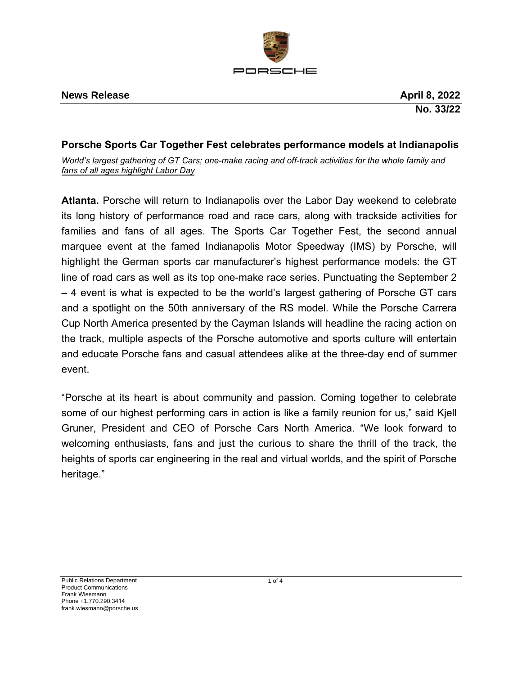

# **Porsche Sports Car Together Fest celebrates performance models at Indianapolis**

*World's largest gathering of GT Cars; one-make racing and off-track activities for the whole family and fans of all ages highlight Labor Day*

**Atlanta.** Porsche will return to Indianapolis over the Labor Day weekend to celebrate its long history of performance road and race cars, along with trackside activities for families and fans of all ages. The Sports Car Together Fest, the second annual marquee event at the famed Indianapolis Motor Speedway (IMS) by Porsche, will highlight the German sports car manufacturer's highest performance models: the GT line of road cars as well as its top one-make race series. Punctuating the September 2 – 4 event is what is expected to be the world's largest gathering of Porsche GT cars and a spotlight on the 50th anniversary of the RS model. While the Porsche Carrera Cup North America presented by the Cayman Islands will headline the racing action on the track, multiple aspects of the Porsche automotive and sports culture will entertain and educate Porsche fans and casual attendees alike at the three-day end of summer event.

"Porsche at its heart is about community and passion. Coming together to celebrate some of our highest performing cars in action is like a family reunion for us," said Kjell Gruner, President and CEO of Porsche Cars North America. "We look forward to welcoming enthusiasts, fans and just the curious to share the thrill of the track, the heights of sports car engineering in the real and virtual worlds, and the spirit of Porsche heritage."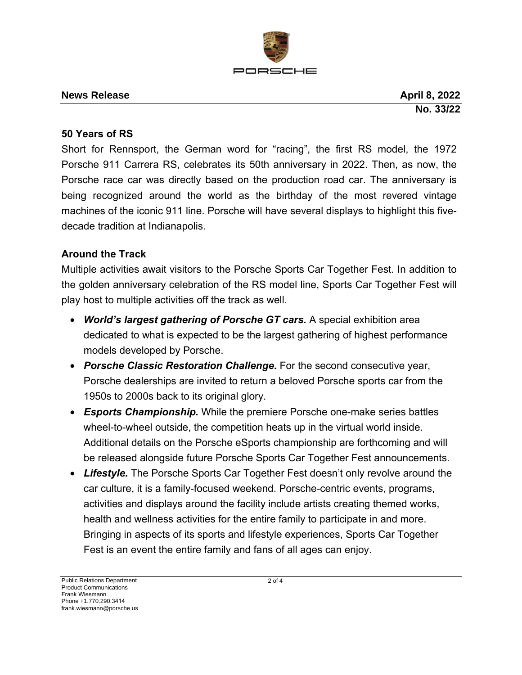

#### **News Release April 8, 2022**

**No. 33/22**

#### **50 Years of RS**

Short for Rennsport, the German word for "racing", the first RS model, the 1972 Porsche 911 Carrera RS, celebrates its 50th anniversary in 2022. Then, as now, the Porsche race car was directly based on the production road car. The anniversary is being recognized around the world as the birthday of the most revered vintage machines of the iconic 911 line. Porsche will have several displays to highlight this fivedecade tradition at Indianapolis.

## **Around the Track**

Multiple activities await visitors to the Porsche Sports Car Together Fest. In addition to the golden anniversary celebration of the RS model line, Sports Car Together Fest will play host to multiple activities off the track as well.

- *World's largest gathering of Porsche GT cars.* A special exhibition area dedicated to what is expected to be the largest gathering of highest performance models developed by Porsche.
- *Porsche Classic Restoration Challenge.* For the second consecutive year, Porsche dealerships are invited to return a beloved Porsche sports car from the 1950s to 2000s back to its original glory.
- *Esports Championship.* While the premiere Porsche one-make series battles wheel-to-wheel outside, the competition heats up in the virtual world inside. Additional details on the Porsche eSports championship are forthcoming and will be released alongside future Porsche Sports Car Together Fest announcements.
- *Lifestyle.* The Porsche Sports Car Together Fest doesn't only revolve around the car culture, it is a family-focused weekend. Porsche-centric events, programs, activities and displays around the facility include artists creating themed works, health and wellness activities for the entire family to participate in and more. Bringing in aspects of its sports and lifestyle experiences, Sports Car Together Fest is an event the entire family and fans of all ages can enjoy.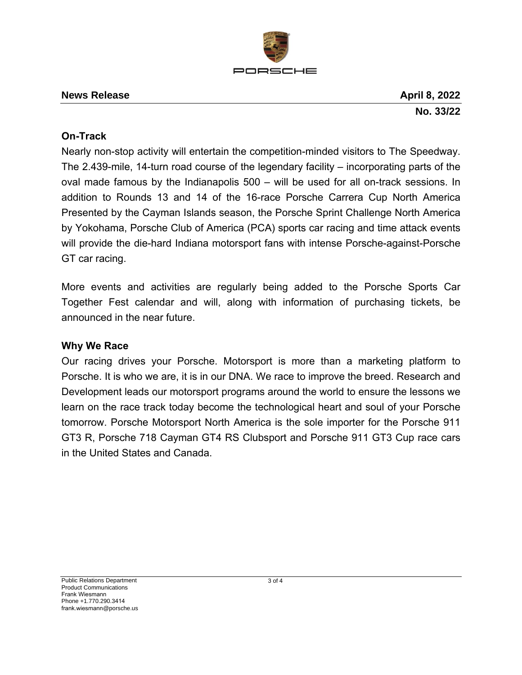

#### **News Release April 8**, 2022

**No. 33/22**

# **On-Track**

Nearly non-stop activity will entertain the competition-minded visitors to The Speedway. The 2.439-mile, 14-turn road course of the legendary facility – incorporating parts of the oval made famous by the Indianapolis 500 – will be used for all on-track sessions. In addition to Rounds 13 and 14 of the 16-race Porsche Carrera Cup North America Presented by the Cayman Islands season, the Porsche Sprint Challenge North America by Yokohama, Porsche Club of America (PCA) sports car racing and time attack events will provide the die-hard Indiana motorsport fans with intense Porsche-against-Porsche GT car racing.

More events and activities are regularly being added to the Porsche Sports Car Together Fest calendar and will, along with information of purchasing tickets, be announced in the near future.

## **Why We Race**

Our racing drives your Porsche. Motorsport is more than a marketing platform to Porsche. It is who we are, it is in our DNA. We race to improve the breed. Research and Development leads our motorsport programs around the world to ensure the lessons we learn on the race track today become the technological heart and soul of your Porsche tomorrow. Porsche Motorsport North America is the sole importer for the Porsche 911 GT3 R, Porsche 718 Cayman GT4 RS Clubsport and Porsche 911 GT3 Cup race cars in the United States and Canada.